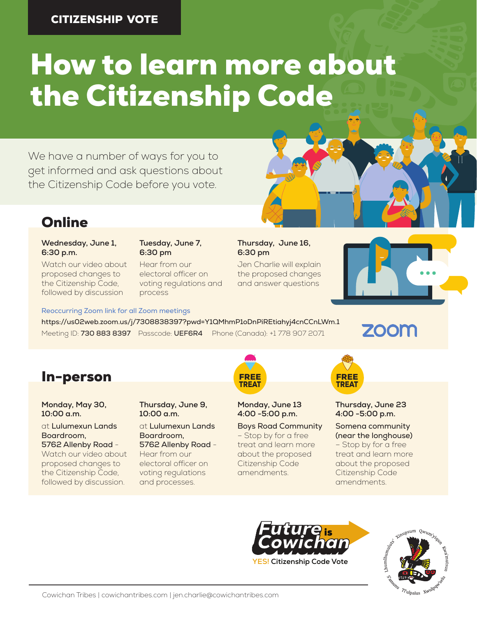#### CITIZENSHIP VOTE

# How to learn more about the Citizenship Code

We have a number of ways for you to get informed and ask questions about the Citizenship Code before you vote.



### **Online**

#### **Wednesday, June 1, 6:30 p.m.**

Watch our video about proposed changes to the Citizenship Code, followed by discussion

#### **Tuesday, June 7, 6:30 pm**

Hear from our electoral officer on voting regulations and process

#### **Thursday, June 16, 6:30 pm**

Jen Charlie will explain the proposed changes and answer questions



Reoccurring Zoom link for all Zoom meetings

https://us02web.zoom.us/j/7308838397?pwd=Y1QMhmP1oDnPiREtiahyj4cnCCnLWm.1 Meeting ID: 730 883 8397 Passcode: UEF6R4 Phone (Canada): +1 778 907 2071

**ZOOM** 

## **In-person FREE** FREE FREE FREE FREE

**Monday, May 30, 10:00 a.m.**

at Lulumexun Lands Boardroom, 5762 Allenby Road -

Watch our video about proposed changes to the Citizenship Code, followed by discussion.

**Thursday, June 9, 10:00 a.m.**

#### at Lulumexun Lands Boardroom, 5762 Allenby Road -

Hear from our electoral officer on voting regulations and processes.



**Monday, June 13 4:00 -5:00 p.m.**

Boys Road Community – Stop by for a free treat and learn more about the proposed Citizenship Code amendments.



**Thursday, June 23 4:00 -5:00 p.m.**

Somena community (near the longhouse) – Stop by for a free treat and learn more about the proposed Citizenship Code amendments.